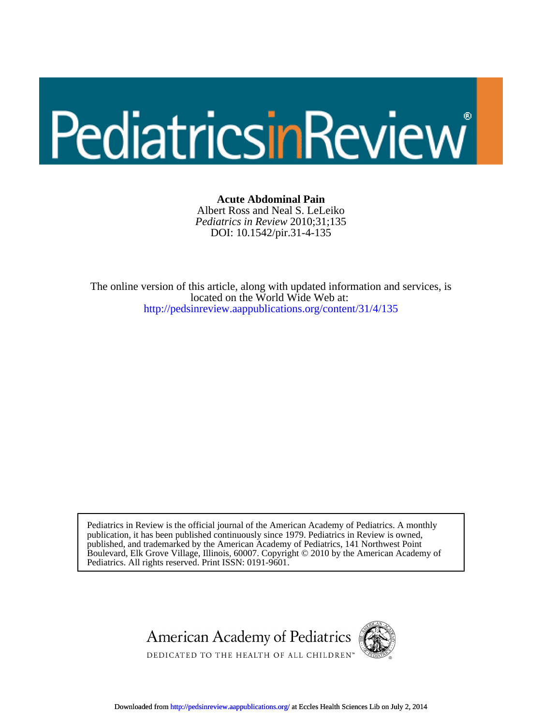# PediatricsinReview

DOI: 10.1542/pir.31-4-135 *Pediatrics in Review* 2010;31;135 Albert Ross and Neal S. LeLeiko **Acute Abdominal Pain**

<http://pedsinreview.aappublications.org/content/31/4/135> located on the World Wide Web at: The online version of this article, along with updated information and services, is

Pediatrics. All rights reserved. Print ISSN: 0191-9601. Boulevard, Elk Grove Village, Illinois, 60007. Copyright © 2010 by the American Academy of published, and trademarked by the American Academy of Pediatrics, 141 Northwest Point publication, it has been published continuously since 1979. Pediatrics in Review is owned, Pediatrics in Review is the official journal of the American Academy of Pediatrics. A monthly

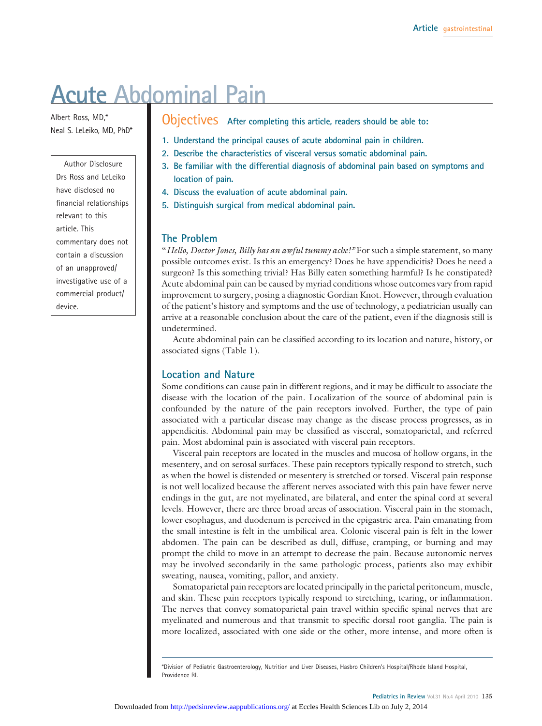# **Acute Abdominal Pain**

Albert Ross, MD,\* Neal S. LeLeiko, MD, PhD\*

# Objectives **After completing this article, readers should be able to:**

- **1. Understand the principal causes of acute abdominal pain in children.**
- **2. Describe the characteristics of visceral versus somatic abdominal pain.**
- **3. Be familiar with the differential diagnosis of abdominal pain based on symptoms and location of pain.**
- **4. Discuss the evaluation of acute abdominal pain.**
- **5. Distinguish surgical from medical abdominal pain.**

## **The Problem**

"*Hello, Doctor Jones, Billy has an awful tummy ache!"* For such a simple statement, so many possible outcomes exist. Is this an emergency? Does he have appendicitis? Does he need a surgeon? Is this something trivial? Has Billy eaten something harmful? Is he constipated? Acute abdominal pain can be caused by myriad conditions whose outcomes vary from rapid improvement to surgery, posing a diagnostic Gordian Knot. However, through evaluation of the patient's history and symptoms and the use of technology, a pediatrician usually can arrive at a reasonable conclusion about the care of the patient, even if the diagnosis still is undetermined.

Acute abdominal pain can be classified according to its location and nature, history, or associated signs (Table 1).

#### **Location and Nature**

Some conditions can cause pain in different regions, and it may be difficult to associate the disease with the location of the pain. Localization of the source of abdominal pain is confounded by the nature of the pain receptors involved. Further, the type of pain associated with a particular disease may change as the disease process progresses, as in appendicitis. Abdominal pain may be classified as visceral, somatoparietal, and referred pain. Most abdominal pain is associated with visceral pain receptors.

Visceral pain receptors are located in the muscles and mucosa of hollow organs, in the mesentery, and on serosal surfaces. These pain receptors typically respond to stretch, such as when the bowel is distended or mesentery is stretched or torsed. Visceral pain response is not well localized because the afferent nerves associated with this pain have fewer nerve endings in the gut, are not myelinated, are bilateral, and enter the spinal cord at several levels. However, there are three broad areas of association. Visceral pain in the stomach, lower esophagus, and duodenum is perceived in the epigastric area. Pain emanating from the small intestine is felt in the umbilical area. Colonic visceral pain is felt in the lower abdomen. The pain can be described as dull, diffuse, cramping, or burning and may prompt the child to move in an attempt to decrease the pain. Because autonomic nerves may be involved secondarily in the same pathologic process, patients also may exhibit sweating, nausea, vomiting, pallor, and anxiety.

Somatoparietal pain receptors are located principally in the parietal peritoneum, muscle, and skin. These pain receptors typically respond to stretching, tearing, or inflammation. The nerves that convey somatoparietal pain travel within specific spinal nerves that are myelinated and numerous and that transmit to specific dorsal root ganglia. The pain is more localized, associated with one side or the other, more intense, and more often is

Author Disclosure Drs Ross and LeLeiko have disclosed no financial relationships relevant to this article. This commentary does not contain a discussion of an unapproved/ investigative use of a commercial product/ device.

<sup>\*</sup>Division of Pediatric Gastroenterology, Nutrition and Liver Diseases, Hasbro Children's Hospital/Rhode Island Hospital, Providence RI.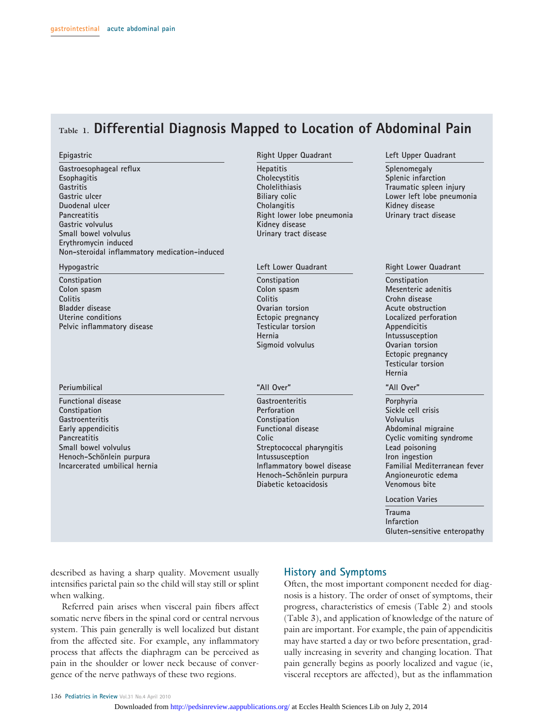# **Table 1. Differential Diagnosis Mapped to Location of Abdominal Pain**

**Gastroesophageal reflux Hepatitis Splenomegaly Esophagitis Cholecystitis Splenic infarction Gastritis Cholelithiasis Traumatic spleen injury Duodenal ulcer Cholangitis Kidney disease Pancreatitis Right lower lobe pneumonia Urinary tract disease Gastric volvulus Kidney disease Small bowel volvulus Urinary tract disease Erythromycin induced Non-steroidal inflammatory medication-induced**

**Constipation Constipation Constipation Colon spasm Colon spasm Mesenteric adenitis Colitis Colitis Crohn disease Uterine conditions Ectopic pregnancy Localized perforation Pelvic inflammatory disease Testicular torsion Appendicitis**

#### **Periumbilical "All Over" "All Over"**

**Constipation Perforation Sickle cell crisis Gastroenteritis Constipation**<br> **Constipation**<br> **Constipation**<br> **Constipation Pancreatitis Colic Cyclic vomiting syndrome Small bowel volvulus Streptococcal pharyngitis Lead poisoning Henoch-Scho¨nlein purpura Intussusception Iron ingestion**

# **Epigastric Right Upper Quadrant Left Upper Quadrant**

**Bladish Disease is a Covarian torsion Acute obstruction Hernia Intussusception Sigmoid volvulus Ovarian torsion**

**Functional disease Gastroenteritis Porphyria Henoch-Schönlein purpura Angioneurotic (Burguria)**<br>Diabetic ketoacidosis **Menomus** Venomous bite **Diabetic ketoacidosis** 

Lower left lobe pneumonia

#### **Hypogastric Left Lower Quadrant Right Lower Quadrant**

**Ectopic pregnancy Testicular torsion Hernia**

**Early appendicitis Functional disease Abdominal migraine Inflammatory bowel disease Familial Mediterranean fever<br>
Henoch-Schönlein purpura Pamatoric edema** 

#### **Location Varies**

**Trauma Infarction Gluten-sensitive enteropathy**

described as having a sharp quality. Movement usually intensifies parietal pain so the child will stay still or splint when walking.

Referred pain arises when visceral pain fibers affect somatic nerve fibers in the spinal cord or central nervous system. This pain generally is well localized but distant from the affected site. For example, any inflammatory process that affects the diaphragm can be perceived as pain in the shoulder or lower neck because of convergence of the nerve pathways of these two regions.

#### **History and Symptoms**

Often, the most important component needed for diagnosis is a history. The order of onset of symptoms, their progress, characteristics of emesis (Table 2) and stools (Table 3), and application of knowledge of the nature of pain are important. For example, the pain of appendicitis may have started a day or two before presentation, gradually increasing in severity and changing location. That pain generally begins as poorly localized and vague (ie, visceral receptors are affected), but as the inflammation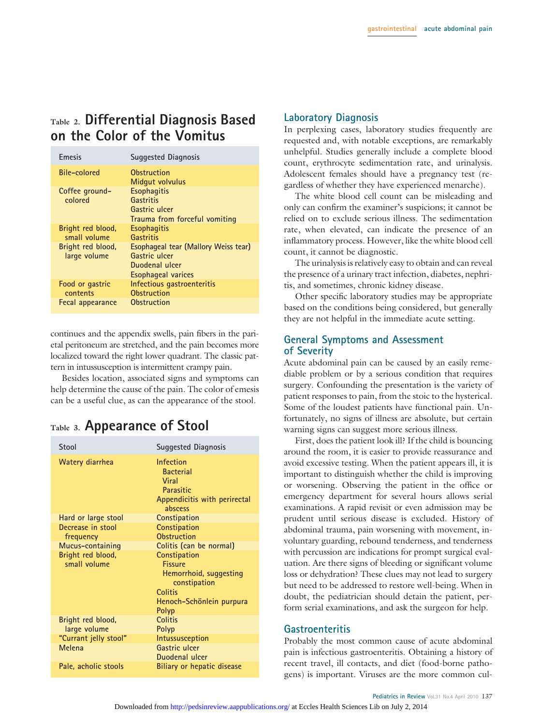# **Table 2. Differential Diagnosis Based on the Color of the Vomitus**

| <b>Emesis</b>                     | Suggested Diagnosis                                                                                  |
|-----------------------------------|------------------------------------------------------------------------------------------------------|
| Bile-colored                      | Obstruction<br>Midgut volvulus                                                                       |
| Coffee ground-<br>colored         | <b>Esophagitis</b><br>Gastritis<br>Gastric ulcer<br>Trauma from forceful vomiting                    |
| Bright red blood,<br>small volume | <b>Esophagitis</b><br>Gastritis                                                                      |
| Bright red blood,<br>large volume | Esophageal tear (Mallory Weiss tear)<br>Gastric ulcer<br>Duodenal ulcer<br><b>Esophageal varices</b> |
| Food or gastric<br>contents       | Infectious gastroenteritis<br>Obstruction                                                            |
| Fecal appearance                  | Obstruction                                                                                          |

continues and the appendix swells, pain fibers in the parietal peritoneum are stretched, and the pain becomes more localized toward the right lower quadrant. The classic pattern in intussusception is intermittent crampy pain.

Besides location, associated signs and symptoms can help determine the cause of the pain. The color of emesis can be a useful clue, as can the appearance of the stool.

# **Table 3. Appearance of Stool**

| Stool                             | Suggested Diagnosis                                                                                                             |
|-----------------------------------|---------------------------------------------------------------------------------------------------------------------------------|
| Watery diarrhea                   | Infection<br><b>Bacterial</b><br>Viral<br>Parasitic<br>Appendicitis with perirectal<br>abscess                                  |
| Hard or large stool               | Constipation                                                                                                                    |
| Decrease in stool                 | Constipation                                                                                                                    |
| frequency                         | <b>Obstruction</b>                                                                                                              |
| Mucus-containing                  | Colitis (can be normal)                                                                                                         |
| Bright red blood,<br>small volume | Constipation<br><b>Fissure</b><br>Hemorrhoid, suggesting<br>constipation<br><b>Colitis</b><br>Henoch-Schönlein purpura<br>Polyp |
| Bright red blood,<br>large volume | <b>Colitis</b><br>Polyp                                                                                                         |
| "Currant jelly stool"             | Intussusception                                                                                                                 |
| Melena                            | Gastric ulcer<br>Duodenal ulcer                                                                                                 |
| Pale, acholic stools              | Biliary or hepatic disease                                                                                                      |

#### **Laboratory Diagnosis**

In perplexing cases, laboratory studies frequently are requested and, with notable exceptions, are remarkably unhelpful. Studies generally include a complete blood count, erythrocyte sedimentation rate, and urinalysis. Adolescent females should have a pregnancy test (regardless of whether they have experienced menarche).

The white blood cell count can be misleading and only can confirm the examiner's suspicions; it cannot be relied on to exclude serious illness. The sedimentation rate, when elevated, can indicate the presence of an inflammatory process. However, like the white blood cell count, it cannot be diagnostic.

The urinalysis is relatively easy to obtain and can reveal the presence of a urinary tract infection, diabetes, nephritis, and sometimes, chronic kidney disease.

Other specific laboratory studies may be appropriate based on the conditions being considered, but generally they are not helpful in the immediate acute setting.

## **General Symptoms and Assessment of Severity**

Acute abdominal pain can be caused by an easily remediable problem or by a serious condition that requires surgery. Confounding the presentation is the variety of patient responses to pain, from the stoic to the hysterical. Some of the loudest patients have functional pain. Unfortunately, no signs of illness are absolute, but certain warning signs can suggest more serious illness.

First, does the patient look ill? If the child is bouncing around the room, it is easier to provide reassurance and avoid excessive testing. When the patient appears ill, it is important to distinguish whether the child is improving or worsening. Observing the patient in the office or emergency department for several hours allows serial examinations. A rapid revisit or even admission may be prudent until serious disease is excluded. History of abdominal trauma, pain worsening with movement, involuntary guarding, rebound tenderness, and tenderness with percussion are indications for prompt surgical evaluation. Are there signs of bleeding or significant volume loss or dehydration? These clues may not lead to surgery but need to be addressed to restore well-being. When in doubt, the pediatrician should detain the patient, perform serial examinations, and ask the surgeon for help.

### **Gastroenteritis**

Probably the most common cause of acute abdominal pain is infectious gastroenteritis. Obtaining a history of recent travel, ill contacts, and diet (food-borne pathogens) is important. Viruses are the more common cul-

Pediatrics in Review Vol.31 No.4 April 2010 137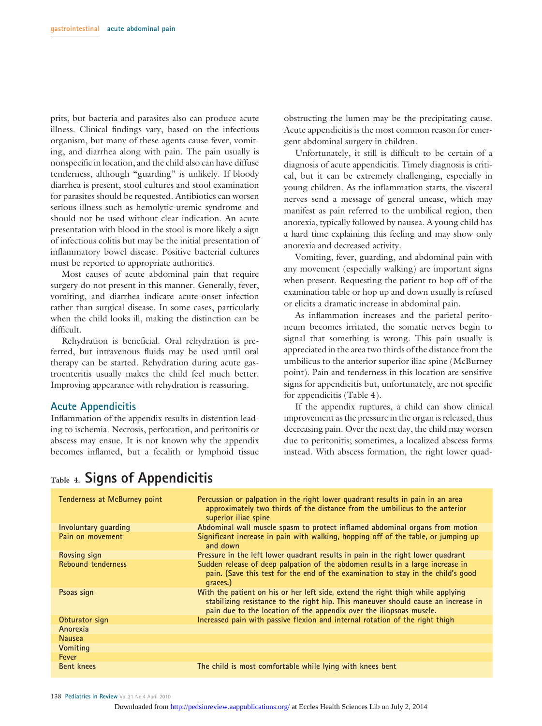prits, but bacteria and parasites also can produce acute illness. Clinical findings vary, based on the infectious organism, but many of these agents cause fever, vomiting, and diarrhea along with pain. The pain usually is nonspecific in location, and the child also can have diffuse tenderness, although "guarding" is unlikely. If bloody diarrhea is present, stool cultures and stool examination for parasites should be requested. Antibiotics can worsen serious illness such as hemolytic-uremic syndrome and should not be used without clear indication. An acute presentation with blood in the stool is more likely a sign of infectious colitis but may be the initial presentation of inflammatory bowel disease. Positive bacterial cultures must be reported to appropriate authorities.

Most causes of acute abdominal pain that require surgery do not present in this manner. Generally, fever, vomiting, and diarrhea indicate acute-onset infection rather than surgical disease. In some cases, particularly when the child looks ill, making the distinction can be difficult.

Rehydration is beneficial. Oral rehydration is preferred, but intravenous fluids may be used until oral therapy can be started. Rehydration during acute gastroenteritis usually makes the child feel much better. Improving appearance with rehydration is reassuring.

#### **Acute Appendicitis**

Inflammation of the appendix results in distention leading to ischemia. Necrosis, perforation, and peritonitis or abscess may ensue. It is not known why the appendix becomes inflamed, but a fecalith or lymphoid tissue

obstructing the lumen may be the precipitating cause. Acute appendicitis is the most common reason for emergent abdominal surgery in children.

Unfortunately, it still is difficult to be certain of a diagnosis of acute appendicitis. Timely diagnosis is critical, but it can be extremely challenging, especially in young children. As the inflammation starts, the visceral nerves send a message of general unease, which may manifest as pain referred to the umbilical region, then anorexia, typically followed by nausea. A young child has a hard time explaining this feeling and may show only anorexia and decreased activity.

Vomiting, fever, guarding, and abdominal pain with any movement (especially walking) are important signs when present. Requesting the patient to hop off of the examination table or hop up and down usually is refused or elicits a dramatic increase in abdominal pain.

As inflammation increases and the parietal peritoneum becomes irritated, the somatic nerves begin to signal that something is wrong. This pain usually is appreciated in the area two thirds of the distance from the umbilicus to the anterior superior iliac spine (McBurney point). Pain and tenderness in this location are sensitive signs for appendicitis but, unfortunately, are not specific for appendicitis (Table 4).

If the appendix ruptures, a child can show clinical improvement as the pressure in the organ is released, thus decreasing pain. Over the next day, the child may worsen due to peritonitis; sometimes, a localized abscess forms instead. With abscess formation, the right lower quad-

| Tenderness at McBurney point | Percussion or palpation in the right lower quadrant results in pain in an area<br>approximately two thirds of the distance from the umbilicus to the anterior<br>superior iliac spine                                                        |
|------------------------------|----------------------------------------------------------------------------------------------------------------------------------------------------------------------------------------------------------------------------------------------|
| Involuntary quarding         | Abdominal wall muscle spasm to protect inflamed abdominal organs from motion                                                                                                                                                                 |
| Pain on movement             | Significant increase in pain with walking, hopping off of the table, or jumping up<br>and down                                                                                                                                               |
| <b>Rovsing sign</b>          | Pressure in the left lower quadrant results in pain in the right lower quadrant                                                                                                                                                              |
| <b>Rebound tenderness</b>    | Sudden release of deep palpation of the abdomen results in a large increase in<br>pain. (Save this test for the end of the examination to stay in the child's good<br>graces.)                                                               |
| Psoas sign                   | With the patient on his or her left side, extend the right thigh while applying<br>stabilizing resistance to the right hip. This maneuver should cause an increase in<br>pain due to the location of the appendix over the iliopsoas muscle. |
| Obturator sign               | Increased pain with passive flexion and internal rotation of the right thigh                                                                                                                                                                 |
| Anorexia                     |                                                                                                                                                                                                                                              |
| <b>Nausea</b>                |                                                                                                                                                                                                                                              |
| Vomiting                     |                                                                                                                                                                                                                                              |
| Fever                        |                                                                                                                                                                                                                                              |
| <b>Bent knees</b>            | The child is most comfortable while lying with knees bent                                                                                                                                                                                    |

# **Table 4. Signs of Appendicitis**

138 **Pediatrics in Review** Vol.31 No.4 April 2010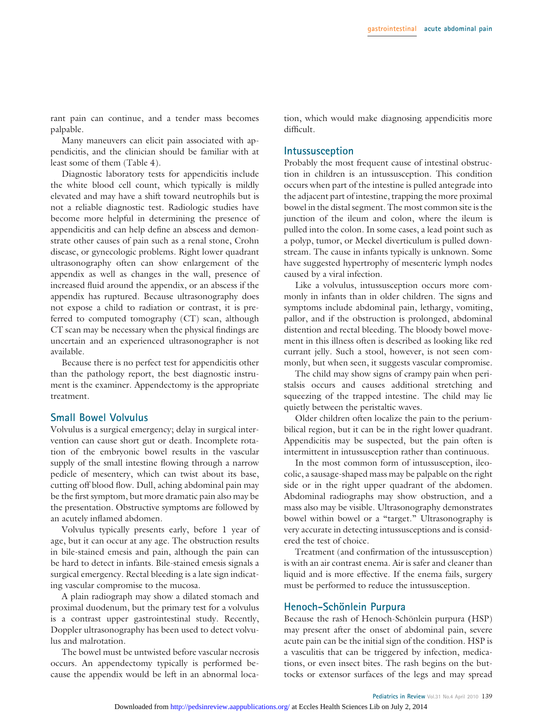rant pain can continue, and a tender mass becomes palpable.

Many maneuvers can elicit pain associated with appendicitis, and the clinician should be familiar with at least some of them (Table 4).

Diagnostic laboratory tests for appendicitis include the white blood cell count, which typically is mildly elevated and may have a shift toward neutrophils but is not a reliable diagnostic test. Radiologic studies have become more helpful in determining the presence of appendicitis and can help define an abscess and demonstrate other causes of pain such as a renal stone, Crohn disease, or gynecologic problems. Right lower quadrant ultrasonography often can show enlargement of the appendix as well as changes in the wall, presence of increased fluid around the appendix, or an abscess if the appendix has ruptured. Because ultrasonography does not expose a child to radiation or contrast, it is preferred to computed tomography (CT) scan, although CT scan may be necessary when the physical findings are uncertain and an experienced ultrasonographer is not available.

Because there is no perfect test for appendicitis other than the pathology report, the best diagnostic instrument is the examiner. Appendectomy is the appropriate treatment.

#### **Small Bowel Volvulus**

Volvulus is a surgical emergency; delay in surgical intervention can cause short gut or death. Incomplete rotation of the embryonic bowel results in the vascular supply of the small intestine flowing through a narrow pedicle of mesentery, which can twist about its base, cutting off blood flow. Dull, aching abdominal pain may be the first symptom, but more dramatic pain also may be the presentation. Obstructive symptoms are followed by an acutely inflamed abdomen.

Volvulus typically presents early, before 1 year of age, but it can occur at any age. The obstruction results in bile-stained emesis and pain, although the pain can be hard to detect in infants. Bile-stained emesis signals a surgical emergency. Rectal bleeding is a late sign indicating vascular compromise to the mucosa.

A plain radiograph may show a dilated stomach and proximal duodenum, but the primary test for a volvulus is a contrast upper gastrointestinal study. Recently, Doppler ultrasonography has been used to detect volvulus and malrotation.

The bowel must be untwisted before vascular necrosis occurs. An appendectomy typically is performed because the appendix would be left in an abnormal location, which would make diagnosing appendicitis more difficult.

#### **Intussusception**

Probably the most frequent cause of intestinal obstruction in children is an intussusception. This condition occurs when part of the intestine is pulled antegrade into the adjacent part of intestine, trapping the more proximal bowel in the distal segment. The most common site is the junction of the ileum and colon, where the ileum is pulled into the colon. In some cases, a lead point such as a polyp, tumor, or Meckel diverticulum is pulled downstream. The cause in infants typically is unknown. Some have suggested hypertrophy of mesenteric lymph nodes caused by a viral infection.

Like a volvulus, intussusception occurs more commonly in infants than in older children. The signs and symptoms include abdominal pain, lethargy, vomiting, pallor, and if the obstruction is prolonged, abdominal distention and rectal bleeding. The bloody bowel movement in this illness often is described as looking like red currant jelly. Such a stool, however, is not seen commonly, but when seen, it suggests vascular compromise.

The child may show signs of crampy pain when peristalsis occurs and causes additional stretching and squeezing of the trapped intestine. The child may lie quietly between the peristaltic waves.

Older children often localize the pain to the periumbilical region, but it can be in the right lower quadrant. Appendicitis may be suspected, but the pain often is intermittent in intussusception rather than continuous.

In the most common form of intussusception, ileocolic, a sausage-shaped mass may be palpable on the right side or in the right upper quadrant of the abdomen. Abdominal radiographs may show obstruction, and a mass also may be visible. Ultrasonography demonstrates bowel within bowel or a "target." Ultrasonography is very accurate in detecting intussusceptions and is considered the test of choice.

Treatment (and confirmation of the intussusception) is with an air contrast enema. Air is safer and cleaner than liquid and is more effective. If the enema fails, surgery must be performed to reduce the intussusception.

#### **Henoch-Scho¨nlein Purpura**

Because the rash of Henoch-Schönlein purpura (HSP) may present after the onset of abdominal pain, severe acute pain can be the initial sign of the condition. HSP is a vasculitis that can be triggered by infection, medications, or even insect bites. The rash begins on the buttocks or extensor surfaces of the legs and may spread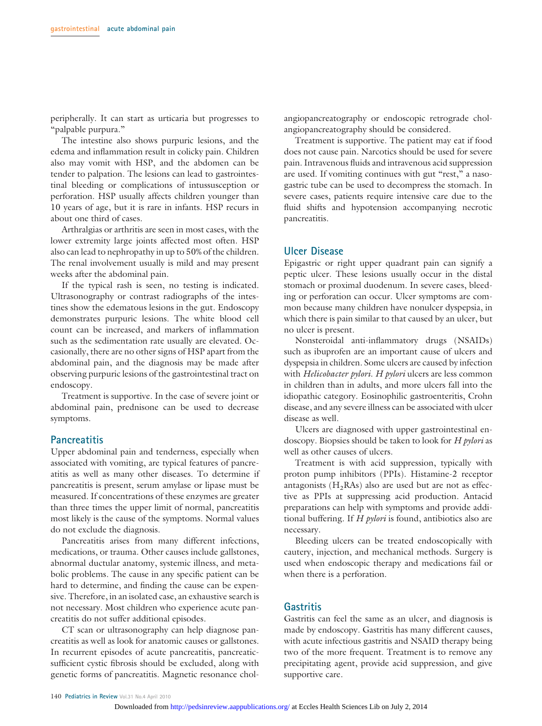peripherally. It can start as urticaria but progresses to "palpable purpura."

The intestine also shows purpuric lesions, and the edema and inflammation result in colicky pain. Children also may vomit with HSP, and the abdomen can be tender to palpation. The lesions can lead to gastrointestinal bleeding or complications of intussusception or perforation. HSP usually affects children younger than 10 years of age, but it is rare in infants. HSP recurs in about one third of cases.

Arthralgias or arthritis are seen in most cases, with the lower extremity large joints affected most often. HSP also can lead to nephropathy in up to 50% of the children. The renal involvement usually is mild and may present weeks after the abdominal pain.

If the typical rash is seen, no testing is indicated. Ultrasonography or contrast radiographs of the intestines show the edematous lesions in the gut. Endoscopy demonstrates purpuric lesions. The white blood cell count can be increased, and markers of inflammation such as the sedimentation rate usually are elevated. Occasionally, there are no other signs of HSP apart from the abdominal pain, and the diagnosis may be made after observing purpuric lesions of the gastrointestinal tract on endoscopy.

Treatment is supportive. In the case of severe joint or abdominal pain, prednisone can be used to decrease symptoms.

#### **Pancreatitis**

Upper abdominal pain and tenderness, especially when associated with vomiting, are typical features of pancreatitis as well as many other diseases. To determine if pancreatitis is present, serum amylase or lipase must be measured. If concentrations of these enzymes are greater than three times the upper limit of normal, pancreatitis most likely is the cause of the symptoms. Normal values do not exclude the diagnosis.

Pancreatitis arises from many different infections, medications, or trauma. Other causes include gallstones, abnormal ductular anatomy, systemic illness, and metabolic problems. The cause in any specific patient can be hard to determine, and finding the cause can be expensive. Therefore, in an isolated case, an exhaustive search is not necessary. Most children who experience acute pancreatitis do not suffer additional episodes.

CT scan or ultrasonography can help diagnose pancreatitis as well as look for anatomic causes or gallstones. In recurrent episodes of acute pancreatitis, pancreaticsufficient cystic fibrosis should be excluded, along with genetic forms of pancreatitis. Magnetic resonance cholangiopancreatography or endoscopic retrograde cholangiopancreatography should be considered.

Treatment is supportive. The patient may eat if food does not cause pain. Narcotics should be used for severe pain. Intravenous fluids and intravenous acid suppression are used. If vomiting continues with gut "rest," a nasogastric tube can be used to decompress the stomach. In severe cases, patients require intensive care due to the fluid shifts and hypotension accompanying necrotic pancreatitis.

## **Ulcer Disease**

Epigastric or right upper quadrant pain can signify a peptic ulcer. These lesions usually occur in the distal stomach or proximal duodenum. In severe cases, bleeding or perforation can occur. Ulcer symptoms are common because many children have nonulcer dyspepsia, in which there is pain similar to that caused by an ulcer, but no ulcer is present.

Nonsteroidal anti-inflammatory drugs (NSAIDs) such as ibuprofen are an important cause of ulcers and dyspepsia in children. Some ulcers are caused by infection with *Helicobacter pylori*. *H pylori* ulcers are less common in children than in adults, and more ulcers fall into the idiopathic category. Eosinophilic gastroenteritis, Crohn disease, and any severe illness can be associated with ulcer disease as well.

Ulcers are diagnosed with upper gastrointestinal endoscopy. Biopsies should be taken to look for *H pylori* as well as other causes of ulcers.

Treatment is with acid suppression, typically with proton pump inhibitors (PPIs). Histamine-2 receptor antagonists  $(H_2RAs)$  also are used but are not as effective as PPIs at suppressing acid production. Antacid preparations can help with symptoms and provide additional buffering. If *H pylori* is found, antibiotics also are necessary.

Bleeding ulcers can be treated endoscopically with cautery, injection, and mechanical methods. Surgery is used when endoscopic therapy and medications fail or when there is a perforation.

## **Gastritis**

Gastritis can feel the same as an ulcer, and diagnosis is made by endoscopy. Gastritis has many different causes, with acute infectious gastritis and NSAID therapy being two of the more frequent. Treatment is to remove any precipitating agent, provide acid suppression, and give supportive care.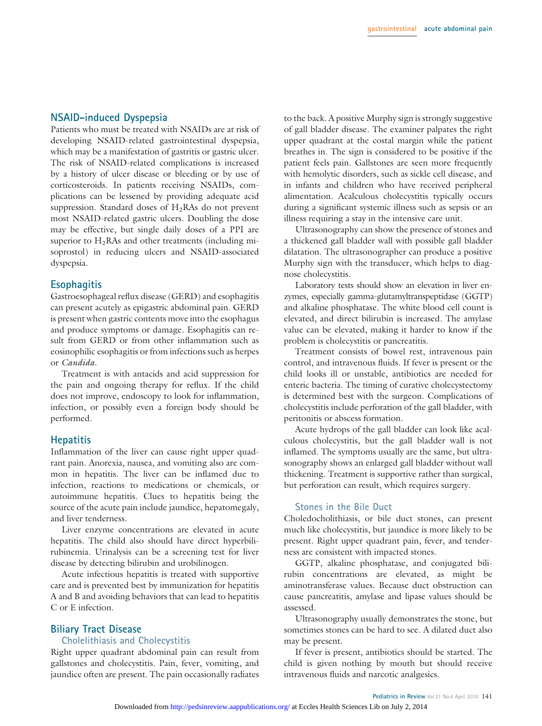#### **NSAID-induced Dyspepsia**

Patients who must be treated with NSAIDs are at risk of developing NSAID-related gastrointestinal dyspepsia, which may be a manifestation of gastritis or gastric ulcer. The risk of NSAID-related complications is increased by a history of ulcer disease or bleeding or by use of corticosteroids. In patients receiving NSAIDs, complications can be lessened by providing adequate acid suppression. Standard doses of  $H_2RAs$  do not prevent most NSAID-related gastric ulcers. Doubling the dose may be effective, but single daily doses of a PPI are superior to  $H_2RAs$  and other treatments (including misoprostol) in reducing ulcers and NSAID-associated dyspepsia.

#### **Esophagitis**

Gastroesophageal reflux disease (GERD) and esophagitis can present acutely as epigastric abdominal pain. GERD is present when gastric contents move into the esophagus and produce symptoms or damage. Esophagitis can result from GERD or from other inflammation such as eosinophilic esophagitis or from infections such as herpes or *Candida.*

Treatment is with antacids and acid suppression for the pain and ongoing therapy for reflux. If the child does not improve, endoscopy to look for inflammation, infection, or possibly even a foreign body should be performed.

#### **Hepatitis**

Inflammation of the liver can cause right upper quadrant pain. Anorexia, nausea, and vomiting also are common in hepatitis. The liver can be inflamed due to infection, reactions to medications or chemicals, or autoimmune hepatitis. Clues to hepatitis being the source of the acute pain include jaundice, hepatomegaly, and liver tenderness.

Liver enzyme concentrations are elevated in acute hepatitis. The child also should have direct hyperbilirubinemia. Urinalysis can be a screening test for liver disease by detecting bilirubin and urobilinogen.

Acute infectious hepatitis is treated with supportive care and is prevented best by immunization for hepatitis A and B and avoiding behaviors that can lead to hepatitis C or E infection.

#### **Biliary Tract Disease**

#### **Cholelithiasis and Cholecystitis**

Right upper quadrant abdominal pain can result from gallstones and cholecystitis. Pain, fever, vomiting, and jaundice often are present. The pain occasionally radiates

to the back. A positive Murphy sign is strongly suggestive of gall bladder disease. The examiner palpates the right upper quadrant at the costal margin while the patient breathes in. The sign is considered to be positive if the patient feels pain. Gallstones are seen more frequently with hemolytic disorders, such as sickle cell disease, and in infants and children who have received peripheral alimentation. Acalculous cholecystitis typically occurs during a significant systemic illness such as sepsis or an illness requiring a stay in the intensive care unit.

Ultrasonography can show the presence of stones and a thickened gall bladder wall with possible gall bladder dilatation. The ultrasonographer can produce a positive Murphy sign with the transducer, which helps to diagnose cholecystitis.

Laboratory tests should show an elevation in liver enzymes, especially gamma-glutamyltranspeptidase (GGTP) and alkaline phosphatase. The white blood cell count is elevated, and direct bilirubin is increased. The amylase value can be elevated, making it harder to know if the problem is cholecystitis or pancreatitis.

Treatment consists of bowel rest, intravenous pain control, and intravenous fluids. If fever is present or the child looks ill or unstable, antibiotics are needed for enteric bacteria. The timing of curative cholecystectomy is determined best with the surgeon. Complications of cholecystitis include perforation of the gall bladder, with peritonitis or abscess formation.

Acute hydrops of the gall bladder can look like acalculous cholecystitis, but the gall bladder wall is not inflamed. The symptoms usually are the same, but ultrasonography shows an enlarged gall bladder without wall thickening. Treatment is supportive rather than surgical, but perforation can result, which requires surgery.

#### **Stones in the Bile Duct**

Choledocholithiasis, or bile duct stones, can present much like cholecystitis, but jaundice is more likely to be present. Right upper quadrant pain, fever, and tenderness are consistent with impacted stones.

GGTP, alkaline phosphatase, and conjugated bilirubin concentrations are elevated, as might be aminotransferase values. Because duct obstruction can cause pancreatitis, amylase and lipase values should be assessed.

Ultrasonography usually demonstrates the stone, but sometimes stones can be hard to see. A dilated duct also may be present.

If fever is present, antibiotics should be started. The child is given nothing by mouth but should receive intravenous fluids and narcotic analgesics.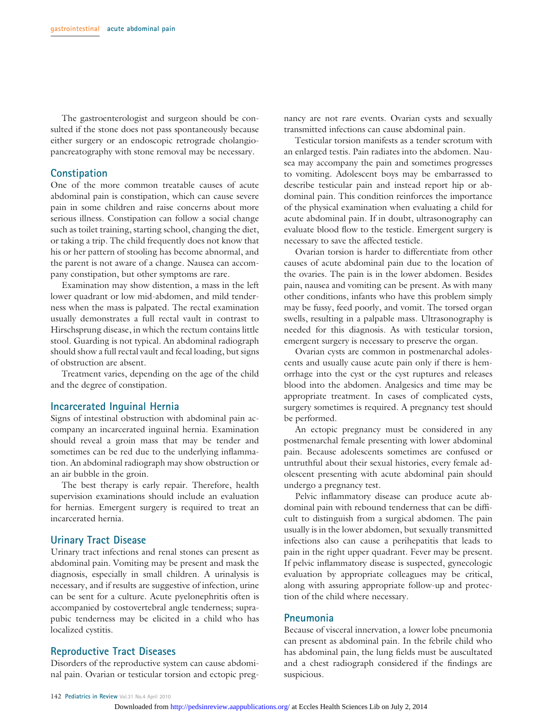The gastroenterologist and surgeon should be consulted if the stone does not pass spontaneously because either surgery or an endoscopic retrograde cholangiopancreatography with stone removal may be necessary.

#### **Constipation**

One of the more common treatable causes of acute abdominal pain is constipation, which can cause severe pain in some children and raise concerns about more serious illness. Constipation can follow a social change such as toilet training, starting school, changing the diet, or taking a trip. The child frequently does not know that his or her pattern of stooling has become abnormal, and the parent is not aware of a change. Nausea can accompany constipation, but other symptoms are rare.

Examination may show distention, a mass in the left lower quadrant or low mid-abdomen, and mild tenderness when the mass is palpated. The rectal examination usually demonstrates a full rectal vault in contrast to Hirschsprung disease, in which the rectum contains little stool. Guarding is not typical. An abdominal radiograph should show a full rectal vault and fecal loading, but signs of obstruction are absent.

Treatment varies, depending on the age of the child and the degree of constipation.

#### **Incarcerated Inguinal Hernia**

Signs of intestinal obstruction with abdominal pain accompany an incarcerated inguinal hernia. Examination should reveal a groin mass that may be tender and sometimes can be red due to the underlying inflammation. An abdominal radiograph may show obstruction or an air bubble in the groin.

The best therapy is early repair. Therefore, health supervision examinations should include an evaluation for hernias. Emergent surgery is required to treat an incarcerated hernia.

#### **Urinary Tract Disease**

Urinary tract infections and renal stones can present as abdominal pain. Vomiting may be present and mask the diagnosis, especially in small children. A urinalysis is necessary, and if results are suggestive of infection, urine can be sent for a culture. Acute pyelonephritis often is accompanied by costovertebral angle tenderness; suprapubic tenderness may be elicited in a child who has localized cystitis.

#### **Reproductive Tract Diseases**

Disorders of the reproductive system can cause abdominal pain. Ovarian or testicular torsion and ectopic pregnancy are not rare events. Ovarian cysts and sexually transmitted infections can cause abdominal pain.

Testicular torsion manifests as a tender scrotum with an enlarged testis. Pain radiates into the abdomen. Nausea may accompany the pain and sometimes progresses to vomiting. Adolescent boys may be embarrassed to describe testicular pain and instead report hip or abdominal pain. This condition reinforces the importance of the physical examination when evaluating a child for acute abdominal pain. If in doubt, ultrasonography can evaluate blood flow to the testicle. Emergent surgery is necessary to save the affected testicle.

Ovarian torsion is harder to differentiate from other causes of acute abdominal pain due to the location of the ovaries. The pain is in the lower abdomen. Besides pain, nausea and vomiting can be present. As with many other conditions, infants who have this problem simply may be fussy, feed poorly, and vomit. The torsed organ swells, resulting in a palpable mass. Ultrasonography is needed for this diagnosis. As with testicular torsion, emergent surgery is necessary to preserve the organ.

Ovarian cysts are common in postmenarchal adolescents and usually cause acute pain only if there is hemorrhage into the cyst or the cyst ruptures and releases blood into the abdomen. Analgesics and time may be appropriate treatment. In cases of complicated cysts, surgery sometimes is required. A pregnancy test should be performed.

An ectopic pregnancy must be considered in any postmenarchal female presenting with lower abdominal pain. Because adolescents sometimes are confused or untruthful about their sexual histories, every female adolescent presenting with acute abdominal pain should undergo a pregnancy test.

Pelvic inflammatory disease can produce acute abdominal pain with rebound tenderness that can be difficult to distinguish from a surgical abdomen. The pain usually is in the lower abdomen, but sexually transmitted infections also can cause a perihepatitis that leads to pain in the right upper quadrant. Fever may be present. If pelvic inflammatory disease is suspected, gynecologic evaluation by appropriate colleagues may be critical, along with assuring appropriate follow-up and protection of the child where necessary.

#### **Pneumonia**

Because of visceral innervation, a lower lobe pneumonia can present as abdominal pain. In the febrile child who has abdominal pain, the lung fields must be auscultated and a chest radiograph considered if the findings are suspicious.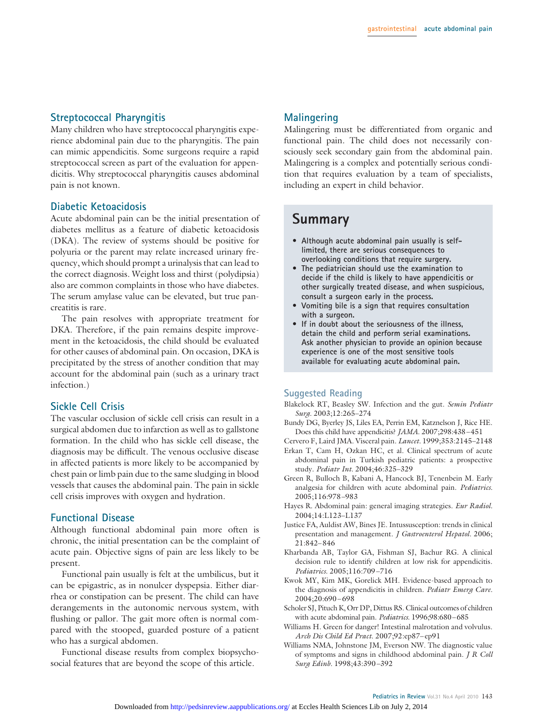#### **Streptococcal Pharyngitis**

Many children who have streptococcal pharyngitis experience abdominal pain due to the pharyngitis. The pain can mimic appendicitis. Some surgeons require a rapid streptococcal screen as part of the evaluation for appendicitis. Why streptococcal pharyngitis causes abdominal pain is not known.

### **Diabetic Ketoacidosis**

Acute abdominal pain can be the initial presentation of diabetes mellitus as a feature of diabetic ketoacidosis (DKA). The review of systems should be positive for polyuria or the parent may relate increased urinary frequency, which should prompt a urinalysis that can lead to the correct diagnosis. Weight loss and thirst (polydipsia) also are common complaints in those who have diabetes. The serum amylase value can be elevated, but true pancreatitis is rare.

The pain resolves with appropriate treatment for DKA. Therefore, if the pain remains despite improvement in the ketoacidosis, the child should be evaluated for other causes of abdominal pain. On occasion, DKA is precipitated by the stress of another condition that may account for the abdominal pain (such as a urinary tract infection.)

#### **Sickle Cell Crisis**

The vascular occlusion of sickle cell crisis can result in a surgical abdomen due to infarction as well as to gallstone formation. In the child who has sickle cell disease, the diagnosis may be difficult. The venous occlusive disease in affected patients is more likely to be accompanied by chest pain or limb pain due to the same sludging in blood vessels that causes the abdominal pain. The pain in sickle cell crisis improves with oxygen and hydration.

#### **Functional Disease**

Although functional abdominal pain more often is chronic, the initial presentation can be the complaint of acute pain. Objective signs of pain are less likely to be present.

Functional pain usually is felt at the umbilicus, but it can be epigastric, as in nonulcer dyspepsia. Either diarrhea or constipation can be present. The child can have derangements in the autonomic nervous system, with flushing or pallor. The gait more often is normal compared with the stooped, guarded posture of a patient who has a surgical abdomen.

Functional disease results from complex biopsychosocial features that are beyond the scope of this article.

### **Malingering**

Malingering must be differentiated from organic and functional pain. The child does not necessarily consciously seek secondary gain from the abdominal pain. Malingering is a complex and potentially serious condition that requires evaluation by a team of specialists, including an expert in child behavior.

# **Summary**

- **Although acute abdominal pain usually is selflimited, there are serious consequences to overlooking conditions that require surgery.**
- **The pediatrician should use the examination to decide if the child is likely to have appendicitis or other surgically treated disease, and when suspicious, consult a surgeon early in the process.**
- **Vomiting bile is a sign that requires consultation with a surgeon.**
- **If in doubt about the seriousness of the illness, detain the child and perform serial examinations. Ask another physician to provide an opinion because experience is one of the most sensitive tools available for evaluating acute abdominal pain.**

#### **Suggested Reading**

- Blakelock RT, Beasley SW. Infection and the gut. *Semin Pediatr Surg.* 2003;12:265–274
- Bundy DG, Byerley JS, Liles EA, Perrin EM, Katznelson J, Rice HE. Does this child have appendicitis? *JAMA.* 2007;298:438–451
- Cervero F, Laird JMA. Visceral pain. *Lancet.* 1999;353:2145–2148
- Erkan T, Cam H, Ozkan HC, et al. Clinical spectrum of acute abdominal pain in Turkish pediatric patients: a prospective study. *Pediatr Int.* 2004;46:325–329
- Green R, Bulloch B, Kabani A, Hancock BJ, Tenenbein M. Early analgesia for children with acute abdominal pain. *Pediatrics.* 2005;116:978–983
- Hayes R. Abdominal pain: general imaging strategies. *Eur Radiol.* 2004;14:L123–L137
- Justice FA, Auldist AW, Bines JE. Intussusception: trends in clinical presentation and management. *J Gastroenterol Hepatol.* 2006; 21:842–846
- Kharbanda AB, Taylor GA, Fishman SJ, Bachur RG. A clinical decision rule to identify children at low risk for appendicitis. *Pediatrics.* 2005;116:709–716
- Kwok MY, Kim MK, Gorelick MH. Evidence-based approach to the diagnosis of appendicitis in children. *Pediatr Emerg Care.* 2004;20:690–698
- Scholer SJ, Pituch K, Orr DP, Dittus RS. Clinical outcomes of children with acute abdominal pain. *Pediatrics.* 1996;98:680–685
- Williams H. Green for danger! Intestinal malrotation and volvulus. *Arch Dis Child Ed Pract.* 2007;92:ep87–ep91
- Williams NMA, Johnstone JM, Everson NW. The diagnostic value of symptoms and signs in childhood abdominal pain. *J R Coll Surg Edinb.* 1998;43:390–392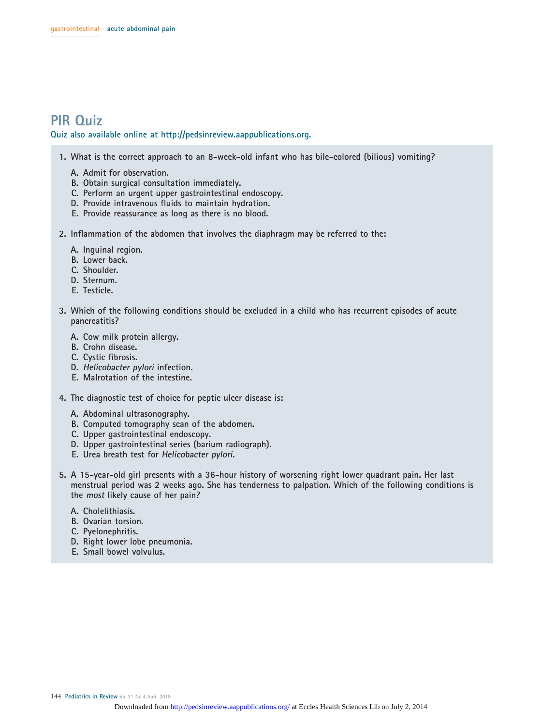## **PIR Quiz**

#### **Quiz also available online at http://pedsinreview.aappublications.org.**

**1. What is the correct approach to an 8-week-old infant who has bile-colored (bilious) vomiting?**

- **A. Admit for observation.**
- **B. Obtain surgical consultation immediately.**
- **C. Perform an urgent upper gastrointestinal endoscopy.**
- **D. Provide intravenous fluids to maintain hydration.**
- **E. Provide reassurance as long as there is no blood.**
- **2. Inflammation of the abdomen that involves the diaphragm may be referred to the:**
	- **A. Inguinal region.**
	- **B. Lower back.**
	- **C. Shoulder.**
	- **D. Sternum.**
	- **E. Testicle.**
- **3. Which of the following conditions should be excluded in a child who has recurrent episodes of acute pancreatitis?**
	- **A. Cow milk protein allergy.**
	- **B. Crohn disease.**
	- **C. Cystic fibrosis.**
	- **D. Helicobacter pylori infection.**
	- **E. Malrotation of the intestine.**
- **4. The diagnostic test of choice for peptic ulcer disease is:**
	- **A. Abdominal ultrasonography.**
	- **B. Computed tomography scan of the abdomen.**
	- **C. Upper gastrointestinal endoscopy.**
	- **D. Upper gastrointestinal series (barium radiograph).**
	- **E. Urea breath test for Helicobacter pylori.**
- **5. A 15-year-old girl presents with a 36-hour history of worsening right lower quadrant pain. Her last menstrual period was 2 weeks ago. She has tenderness to palpation. Which of the following conditions is the most likely cause of her pain?**
	- **A. Cholelithiasis.**
	- **B. Ovarian torsion.**
	- **C. Pyelonephritis.**
	- **D. Right lower lobe pneumonia.**
	- **E. Small bowel volvulus.**